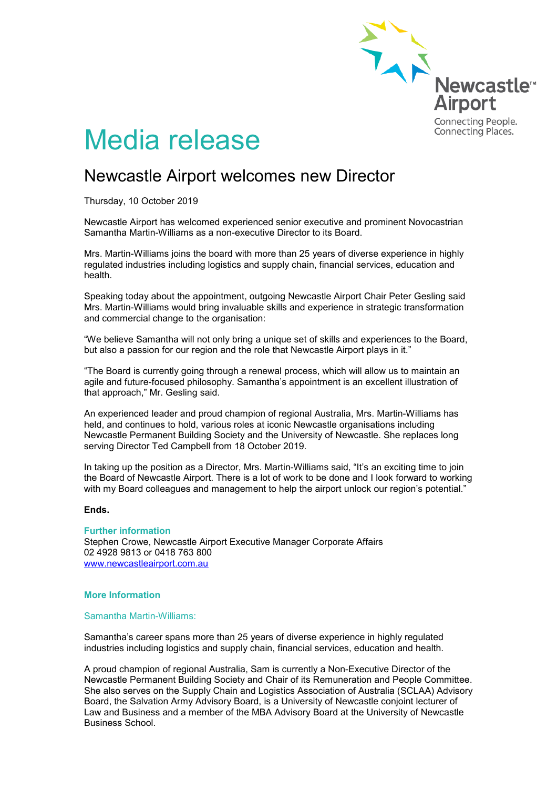

# Media release

# Newcastle Airport welcomes new Director

Thursday, 10 October 2019

Newcastle Airport has welcomed experienced senior executive and prominent Novocastrian Samantha Martin-Williams as a non-executive Director to its Board.

Mrs. Martin-Williams joins the board with more than 25 years of diverse experience in highly regulated industries including logistics and supply chain, financial services, education and health.

Speaking today about the appointment, outgoing Newcastle Airport Chair Peter Gesling said Mrs. Martin-Williams would bring invaluable skills and experience in strategic transformation and commercial change to the organisation:

"We believe Samantha will not only bring a unique set of skills and experiences to the Board, but also a passion for our region and the role that Newcastle Airport plays in it."

"The Board is currently going through a renewal process, which will allow us to maintain an agile and future-focused philosophy. Samantha's appointment is an excellent illustration of that approach," Mr. Gesling said.

An experienced leader and proud champion of regional Australia, Mrs. Martin-Williams has held, and continues to hold, various roles at iconic Newcastle organisations including Newcastle Permanent Building Society and the University of Newcastle. She replaces long serving Director Ted Campbell from 18 October 2019.

In taking up the position as a Director, Mrs. Martin-Williams said, "It's an exciting time to join the Board of Newcastle Airport. There is a lot of work to be done and I look forward to working with my Board colleagues and management to help the airport unlock our region's potential."

### **Ends.**

**Further information** Stephen Crowe, Newcastle Airport Executive Manager Corporate Affairs 02 4928 9813 or 0418 763 800 [www.newcastleairport.com.au](http://www.newcastleairport.com.au/)

#### **More Information**

#### Samantha Martin-Williams:

Samantha's career spans more than 25 years of diverse experience in highly regulated industries including logistics and supply chain, financial services, education and health.

A proud champion of regional Australia, Sam is currently a Non-Executive Director of the Newcastle Permanent Building Society and Chair of its Remuneration and People Committee. She also serves on the Supply Chain and Logistics Association of Australia (SCLAA) Advisory Board, the Salvation Army Advisory Board, is a University of Newcastle conjoint lecturer of Law and Business and a member of the MBA Advisory Board at the University of Newcastle Business School.